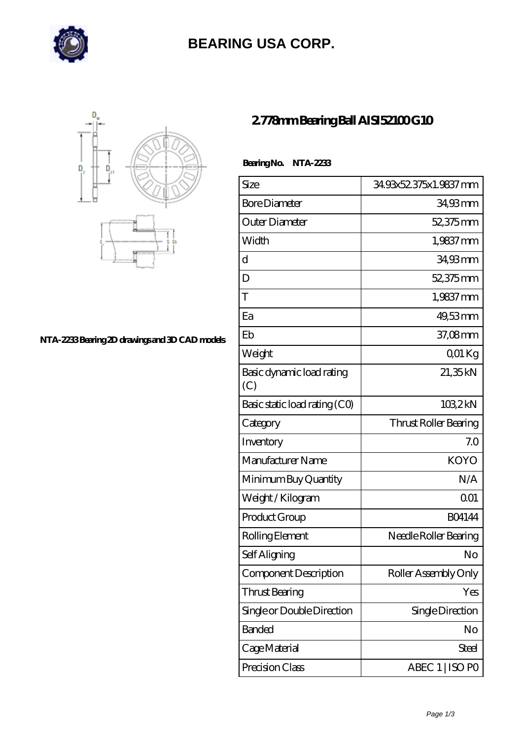

# **[BEARING USA CORP.](https://hathaykhongbanghayhat.org)**



#### **[NTA-2233 Bearing 2D drawings and 3D CAD models](https://hathaykhongbanghayhat.org/pic-683954.html)**

### **[2.778mm Bearing Ball AISI52100 G10](https://hathaykhongbanghayhat.org/am-683954-2-778mm-bearing-ball-aisi52100-g10.html)**

 **Bearing No. NTA-2233**

| Size                             | 34.93x52.375x1.9837 mm       |
|----------------------------------|------------------------------|
| <b>Bore Diameter</b>             | 34,93 mm                     |
| Outer Diameter                   | 52,375mm                     |
| Width                            | 1,9837 mm                    |
| d                                | 34,93mm                      |
| D                                | 52,375mm                     |
| T                                | 1,9837 mm                    |
| Ea                               | 49,53mm                      |
| Eb                               | 37,08mm                      |
| Weight                           | 001 Kg                       |
| Basic dynamic load rating<br>(C) | 21,35kN                      |
| Basic static load rating (CO)    | 1032kN                       |
| Category                         | <b>Thrust Roller Bearing</b> |
| Inventory                        | 7.0                          |
| Manufacturer Name                | <b>KOYO</b>                  |
| Minimum Buy Quantity             | N/A                          |
| Weight /Kilogram                 | 0 <sub>01</sub>              |
| Product Group                    | <b>BO4144</b>                |
| Rolling Element                  | Needle Roller Bearing        |
| Self Aligning                    | No                           |
| Component Description            | Roller Assembly Only         |
| Thrust Bearing                   | Yes                          |
| Single or Double Direction       | Single Direction             |
| <b>Banded</b>                    | No                           |
| Cage Material                    | Steel                        |
| Precision Class                  | ABEC 1   ISO PO              |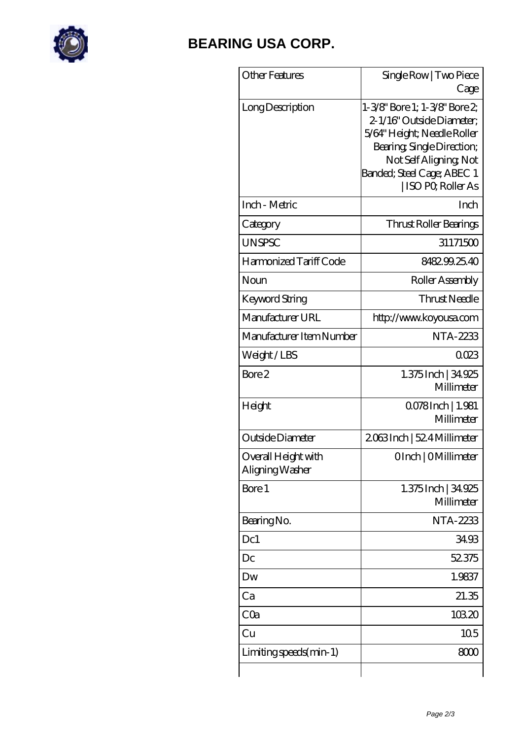

## **[BEARING USA CORP.](https://hathaykhongbanghayhat.org)**

| <b>Other Features</b>                  | Single Row   Two Piece<br>Cage                                                                                                                                                                       |
|----------------------------------------|------------------------------------------------------------------------------------------------------------------------------------------------------------------------------------------------------|
| Long Description                       | 1-3/8" Bore 1; 1-3/8" Bore 2;<br>2-1/16" Outside Diameter:<br>5/64" Height; Needle Roller<br>Bearing, Single Direction;<br>Not Self Aligning, Not<br>Banded; Steel Cage; ABEC 1<br>ISO PO, Roller As |
| Inch - Metric                          | Inch                                                                                                                                                                                                 |
| Category                               | Thrust Roller Bearings                                                                                                                                                                               |
| <b>UNSPSC</b>                          | 31171500                                                                                                                                                                                             |
| Harmonized Tariff Code                 | 848299.25.40                                                                                                                                                                                         |
| Noun                                   | Roller Assembly                                                                                                                                                                                      |
| Keyword String                         | <b>Thrust Needle</b>                                                                                                                                                                                 |
| Manufacturer URL                       | http://www.koyousa.com                                                                                                                                                                               |
| Manufacturer Item Number               | <b>NTA-2233</b>                                                                                                                                                                                      |
| Weight/LBS                             | 0023                                                                                                                                                                                                 |
| Bore 2                                 | 1.375 Inch   34,925<br>Millimeter                                                                                                                                                                    |
| Height                                 | 0.078 Inch   1.981<br>Millimeter                                                                                                                                                                     |
| Outside Diameter                       | 2063Inch   524 Millimeter                                                                                                                                                                            |
| Overall Height with<br>Aligning Washer | OInch   OMillimeter                                                                                                                                                                                  |
| Bore 1                                 | 1.375 Inch   34,925<br>Millimeter                                                                                                                                                                    |
| Bearing No.                            | NTA-2233                                                                                                                                                                                             |
| Dc1                                    | 34.93                                                                                                                                                                                                |
| Dc                                     | 52375                                                                                                                                                                                                |
| Dw                                     | 1.9837                                                                                                                                                                                               |
| Ca                                     | 21.35                                                                                                                                                                                                |
| CQa                                    | 10320                                                                                                                                                                                                |
| Cu                                     | 10 <sub>5</sub>                                                                                                                                                                                      |
| Limiting speeds (min-1)                | 8000                                                                                                                                                                                                 |
|                                        |                                                                                                                                                                                                      |